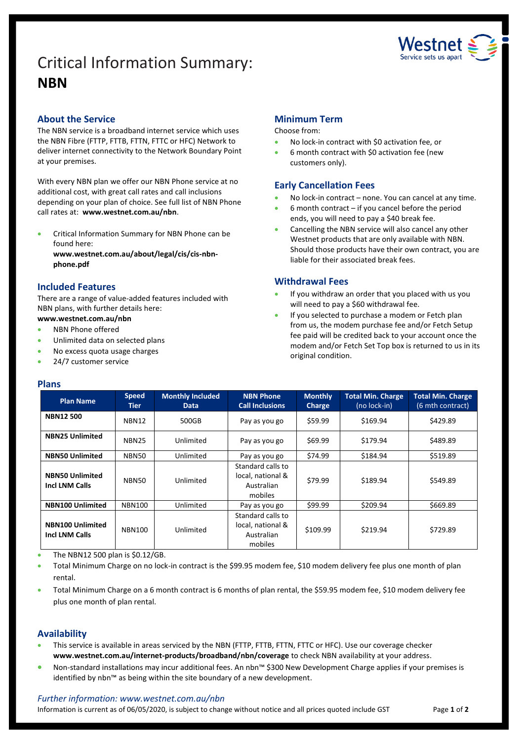# Critical Information Summary: **NBN**



## **About the Service**

The NBN service is a broadband internet service which uses the NBN Fibre (FTTP, FTTB, FTTN, FTTC or HFC) Network to deliver internet connectivity to the Network Boundary Point at your premises.

With every NBN plan we offer our NBN Phone service at no additional cost, with great call rates and call inclusions depending on your plan of choice. See full list of NBN Phone call rates at: **www.westnet.com.au/nbn**.

 Critical Information Summary for NBN Phone can be found here:

**www.westnet.com.au/about/legal/cis/cis-nbnphone.pdf**

# **Included Features**

There are a range of value-added features included with NBN plans, with further details here:

# **www.westnet.com.au/nbn**

- NBN Phone offered
- Unlimited data on selected plans
- No excess quota usage charges
- 24/7 customer service

## **Plans**

## **Minimum Term**

#### Choose from:

- No lock-in contract with \$0 activation fee, or
- 6 month contract with \$0 activation fee (new customers only).

## **Early Cancellation Fees**

- No lock-in contract none. You can cancel at any time.
- 6 month contract if you cancel before the period ends, you will need to pay a \$40 break fee.
- Cancelling the NBN service will also cancel any other Westnet products that are only available with NBN. Should those products have their own contract, you are liable for their associated break fees.

## **Withdrawal Fees**

- If you withdraw an order that you placed with us you will need to pay a \$60 withdrawal fee.
- If you selected to purchase a modem or Fetch plan from us, the modem purchase fee and/or Fetch Setup fee paid will be credited back to your account once the modem and/or Fetch Set Top box is returned to us in its original condition.

| <b>Plan Name</b>                                 | <b>Speed</b><br>Tier | <b>Monthly Included</b><br><b>Data</b> | <b>NBN Phone</b><br><b>Call Inclusions</b>                      | <b>Monthly</b><br><b>Charge</b> | <b>Total Min. Charge</b><br>(no lock-in) | <b>Total Min. Charge</b><br>(6 mth contract) |
|--------------------------------------------------|----------------------|----------------------------------------|-----------------------------------------------------------------|---------------------------------|------------------------------------------|----------------------------------------------|
| <b>NBN12500</b>                                  | NBN12                | 500GB                                  | Pay as you go                                                   | \$59.99                         | \$169.94                                 | \$429.89                                     |
| <b>NBN25 Unlimited</b>                           | <b>NBN25</b>         | Unlimited                              | Pay as you go                                                   | \$69.99                         | \$179.94                                 | \$489.89                                     |
| <b>NBN50 Unlimited</b>                           | NBN50                | Unlimited                              | Pay as you go                                                   | \$74.99                         | \$184.94                                 | \$519.89                                     |
| <b>NBN50 Unlimited</b><br><b>Incl LNM Calls</b>  | NBN50                | Unlimited                              | Standard calls to<br>local, national &<br>Australian<br>mobiles | \$79.99                         | \$189.94                                 | \$549.89                                     |
| <b>NBN100 Unlimited</b>                          | <b>NBN100</b>        | Unlimited                              | Pay as you go                                                   | \$99.99                         | \$209.94                                 | \$669.89                                     |
| <b>NBN100 Unlimited</b><br><b>Incl LNM Calls</b> | <b>NBN100</b>        | Unlimited                              | Standard calls to<br>local, national &<br>Australian<br>mobiles | \$109.99                        | \$219.94                                 | \$729.89                                     |

The NBN12 500 plan is \$0.12/GB.

 Total Minimum Charge on no lock-in contract is the \$99.95 modem fee, \$10 modem delivery fee plus one month of plan rental.

 Total Minimum Charge on a 6 month contract is 6 months of plan rental, the \$59.95 modem fee, \$10 modem delivery fee plus one month of plan rental.

## **Availability**

- This service is available in areas serviced by the NBN (FTTP, FTTB, FTTN, FTTC or HFC). Use ou[r coverage checker](https://www.westnet.com.au/internet-products/broadband/nbn/coverage/) **www.westnet.com.au/internet-products/broadband/nbn/coverage** to check NBN availability at your address.
- Non-standard installations may incur additional fees. An nbn™ \$300 New Development Charge applies if your premises is identified by nbn™ as being within the site boundary of a new development.

## *Further information: www.westnet.com.au/nbn*

Information is current as of 06/05/2020, is subject to change without notice and all prices quoted include GST Page 1 of 2